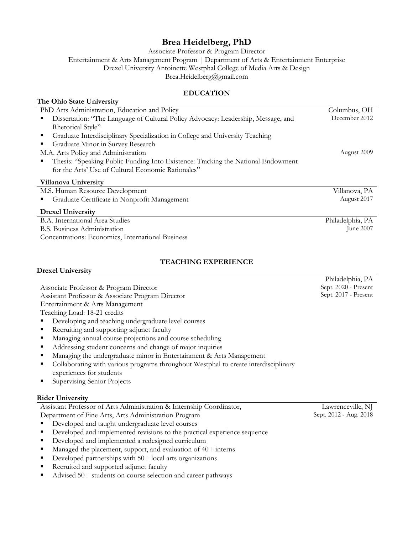# **Brea Heidelberg, PhD**

Associate Professor & Program Director

Entertainment & Arts Management Program | Department of Arts & Entertainment Enterprise

Drexel University Antoinette Westphal College of Media Arts & Design

Brea.Heidelberg@gmail.com

# **EDUCATION**

# **The Ohio State University**

| PhD Arts Administration, Education and Policy                                                       | Columbus, OH  |
|-----------------------------------------------------------------------------------------------------|---------------|
| Dissertation: "The Language of Cultural Policy Advocacy: Leadership, Message, and<br>$\blacksquare$ | December 2012 |
| Rhetorical Style"                                                                                   |               |
| • Graduate Interdisciplinary Specialization in College and University Teaching                      |               |
| Graduate Minor in Survey Research                                                                   |               |
| M.A. Arts Policy and Administration                                                                 | August 2009   |
| <b>Thesis: "Speaking Public Funding Into Existence: Tracking the National Endowment</b>             |               |
| for the Arts' Use of Cultural Economic Rationales"                                                  |               |
| Villanova University                                                                                |               |
| M.S. Human Resource Development                                                                     | Villanova, PA |
| • Graduate Certificate in Nonorofit Management                                                      | August 2017   |

§ Graduate Certificate in Nonprofit Management

### **Drexel University**

B.A. International Area Studies B.S. Business Administration Concentrations: Economics, International Business

### **TEACHING EXPERIENCE**

**Drexel University**

Associate Professor & Program Director Assistant Professor & Associate Program Director

Entertainment & Arts Management

Teaching Load: 18-21 credits

- Developing and teaching undergraduate level courses
- Recruiting and supporting adjunct faculty
- § Managing annual course projections and course scheduling
- Addressing student concerns and change of major inquiries
- Managing the undergraduate minor in Entertainment & Arts Management
- Collaborating with various programs throughout Westphal to create interdisciplinary experiences for students
- Supervising Senior Projects

### **Rider University**

Assistant Professor of Arts Administration & Internship Coordinator,

Department of Fine Arts, Arts Administration Program

- Developed and taught undergraduate level courses
- Developed and implemented revisions to the practical experience sequence
- Developed and implemented a redesigned curriculum
- Managed the placement, support, and evaluation of 40+ interns
- $\blacksquare$  Developed partnerships with 50+ local arts organizations
- Recruited and supported adjunct faculty
- Advised 50+ students on course selection and career pathways

Lawrenceville, NJ Sept. 2012 - Aug. 2018

Philadelphia, PA Sept. 2020 - Present Sept. 2017 - Present

Philadelphia, PA

June 2007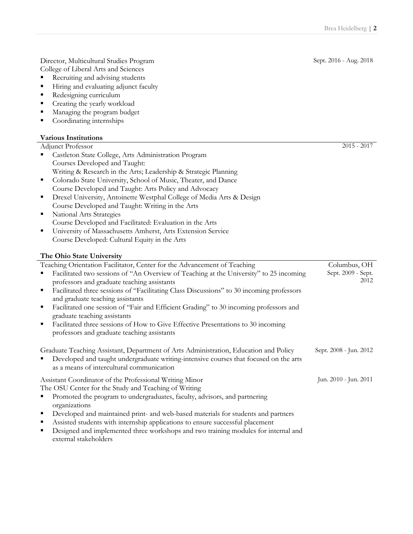Director, Multicultural Studies Program

- College of Liberal Arts and Sciences ■ Recruiting and advising students
- Hiring and evaluating adjunct faculty
- Redesigning curriculum
- Creating the yearly workload
- Managing the program budget
- Coordinating internships

### **Various Institutions**

#### Adjunct Professor

| Castleton State College, Arts Administration Program                                                                              |                    |
|-----------------------------------------------------------------------------------------------------------------------------------|--------------------|
| Courses Developed and Taught:                                                                                                     |                    |
| Writing & Research in the Arts; Leadership & Strategic Planning                                                                   |                    |
| Colorado State University, School of Music, Theater, and Dance<br>п                                                               |                    |
| Course Developed and Taught: Arts Policy and Advocacy                                                                             |                    |
| Drexel University, Antoinette Westphal College of Media Arts & Design<br>п                                                        |                    |
| Course Developed and Taught: Writing in the Arts                                                                                  |                    |
| National Arts Strategies<br>٠                                                                                                     |                    |
| Course Developed and Facilitated: Evaluation in the Arts                                                                          |                    |
| University of Massachusetts Amherst, Arts Extension Service<br>٠                                                                  |                    |
| Course Developed: Cultural Equity in the Arts                                                                                     |                    |
| The Ohio State University                                                                                                         |                    |
| Teaching Orientation Facilitator, Center for the Advancement of Teaching                                                          | Columbus, OH       |
| Facilitated two sessions of "An Overview of Teaching at the University" to 25 incoming                                            | Sept. 2009 - Sept. |
| professors and graduate teaching assistants                                                                                       | 2012               |
| Facilitated three sessions of "Facilitating Class Discussions" to 30 incoming professors<br>п<br>and graduate teaching assistants |                    |
| Facilitated one session of "Fair and Efficient Grading" to 30 incoming professors and<br>п                                        |                    |
| graduate teaching assistants                                                                                                      |                    |
|                                                                                                                                   |                    |
| п                                                                                                                                 |                    |
| Facilitated three sessions of How to Give Effective Presentations to 30 incoming<br>professors and graduate teaching assistants   |                    |

§ Developed and taught undergraduate writing-intensive courses that focused on the arts as a means of intercultural communication

Assistant Coordinator of the Professional Writing Minor The OSU Center for the Study and Teaching of Writing § Promoted the program to undergraduates, faculty, advisors, and partnering organizations Jun. 2010 - Jun. 2011

- § Developed and maintained print- and web-based materials for students and partners
- Assisted students with internship applications to ensure successful placement
- § Designed and implemented three workshops and two training modules for internal and external stakeholders

 $2015 - 2017$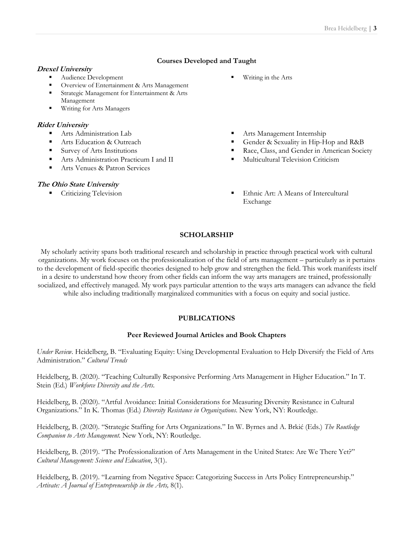### **Courses Developed and Taught**

#### **Drexel University**

- § Audience Development
- § Overview of Entertainment & Arts Management
- § Strategic Management for Entertainment & Arts Management
- Writing for Arts Managers

#### **Rider University**

- § Arts Administration Lab
- Arts Education & Outreach
- Survey of Arts Institutions
- Arts Administration Practicum I and II
- Arts Venues & Patron Services

#### **The Ohio State University**

- § Writing in the Arts
- Arts Management Internship
- § Gender & Sexuality in Hip-Hop and R&B
- § Race, Class, and Gender in American Society
- § Multicultural Television Criticism
- Criticizing Television Ethnic Art: A Means of Intercultural Exchange

### **SCHOLARSHIP**

My scholarly activity spans both traditional research and scholarship in practice through practical work with cultural organizations. My work focuses on the professionalization of the field of arts management – particularly as it pertains to the development of field-specific theories designed to help grow and strengthen the field. This work manifests itself in a desire to understand how theory from other fields can inform the way arts managers are trained, professionally

socialized, and effectively managed. My work pays particular attention to the ways arts managers can advance the field while also including traditionally marginalized communities with a focus on equity and social justice.

### **PUBLICATIONS**

#### **Peer Reviewed Journal Articles and Book Chapters**

*Under Review*. Heidelberg, B. "Evaluating Equity: Using Developmental Evaluation to Help Diversify the Field of Arts Administration." *Cultural Trends*

Heidelberg, B. (2020). "Teaching Culturally Responsive Performing Arts Management in Higher Education." In T. Stein (Ed.) *Workforce Diversity and the Arts*.

Heidelberg, B. (2020). "Artful Avoidance: Initial Considerations for Measuring Diversity Resistance in Cultural Organizations." In K. Thomas (Ed.) *Diversity Resistance in Organizations*. New York, NY: Routledge.

Heidelberg, B. (2020). "Strategic Staffing for Arts Organizations." In W. Byrnes and A. Brkić (Eds.) *The Routledge Companion to Arts Management.* New York, NY: Routledge.

Heidelberg, B. (2019). "The Professionalization of Arts Management in the United States: Are We There Yet?" *Cultural Management: Science and Education*, 3(1).

Heidelberg, B. (2019). "Learning from Negative Space: Categorizing Success in Arts Policy Entrepreneurship." *Artivate: A Journal of Entrepreneurship in the Arts,* 8(1).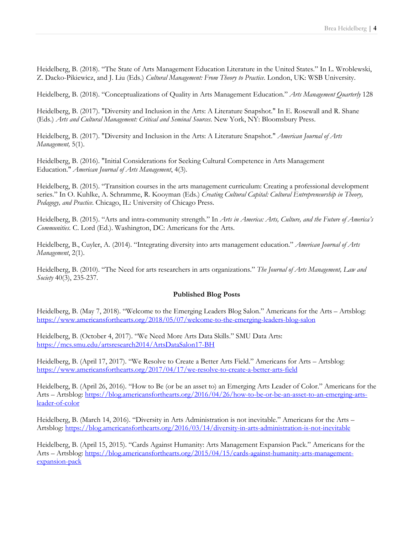Heidelberg, B. (2018). "The State of Arts Management Education Literature in the United States." In L. Wroblewski, Z. Dacko-Pikiewicz, and J. Liu (Eds.) *Cultural Management: From Theory to Practice*. London, UK: WSB University.

Heidelberg, B. (2018). "Conceptualizations of Quality in Arts Management Education." *Arts Management Quarterly* 128

Heidelberg, B. (2017). "Diversity and Inclusion in the Arts: A Literature Snapshot." In E. Rosewall and R. Shane (Eds.) *Arts and Cultural Management: Critical and Seminal Sources*. New York, NY: Bloomsbury Press.

Heidelberg, B. (2017). "Diversity and Inclusion in the Arts: A Literature Snapshot." *American Journal of Arts Management,* 5(1)*.*

Heidelberg, B. (2016). "Initial Considerations for Seeking Cultural Competence in Arts Management Education." *American Journal of Arts Management*, 4(3)*.*

Heidelberg, B. (2015). "Transition courses in the arts management curriculum: Creating a professional development series." In O. Kuhlke, A. Schramme, R. Kooyman (Eds.) *Creating Cultural Capital: Cultural Entrepreneurship in Theory, Pedagogy, and Practice*. Chicago, IL: University of Chicago Press.

Heidelberg, B. (2015). "Arts and intra-community strength." In *Arts in America: Arts, Culture, and the Future of America's Communities.* C. Lord (Ed.). Washington, DC: Americans for the Arts.

Heidelberg, B., Cuyler, A. (2014). "Integrating diversity into arts management education." *American Journal of Arts Management*, 2(1)*.*

Heidelberg, B. (2010). "The Need for arts researchers in arts organizations." *The Journal of Arts Management, Law and Society* 40(3), 235-237.

#### **Published Blog Posts**

Heidelberg, B. (May 7, 2018). "Welcome to the Emerging Leaders Blog Salon." Americans for the Arts – Artsblog: https://www.americansforthearts.org/2018/05/07/welcome-to-the-emerging-leaders-blog-salon

Heidelberg, B. (October 4, 2017). "We Need More Arts Data Skills." SMU Data Arts: https://mcs.smu.edu/artsresearch2014/ArtsDataSalon17-BH

Heidelberg, B. (April 17, 2017). "We Resolve to Create a Better Arts Field." Americans for Arts – Artsblog: https://www.americansforthearts.org/2017/04/17/we-resolve-to-create-a-better-arts-field

Heidelberg, B. (April 26, 2016). "How to Be (or be an asset to) an Emerging Arts Leader of Color." Americans for the Arts – Artsblog: https://blog.americansforthearts.org/2016/04/26/how-to-be-or-be-an-asset-to-an-emerging-artsleader-of-color

Heidelberg, B. (March 14, 2016). "Diversity in Arts Administration is not inevitable." Americans for the Arts – Artsblog: https://blog.americansforthearts.org/2016/03/14/diversity-in-arts-administration-is-not-inevitable

Heidelberg, B. (April 15, 2015). "Cards Against Humanity: Arts Management Expansion Pack." Americans for the Arts – Artsblog: https://blog.americansforthearts.org/2015/04/15/cards-against-humanity-arts-managementexpansion-pack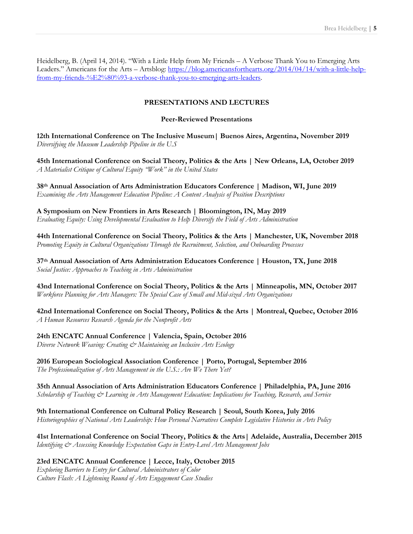Heidelberg, B. (April 14, 2014). "With a Little Help from My Friends – A Verbose Thank You to Emerging Arts Leaders." Americans for the Arts – Artsblog: https://blog.americansforthearts.org/2014/04/14/with-a-little-helpfrom-my-friends-%E2%80%93-a-verbose-thank-you-to-emerging-arts-leaders.

## **PRESENTATIONS AND LECTURES**

### **Peer-Reviewed Presentations**

**12th International Conference on The Inclusive Museum| Buenos Aires, Argentina, November 2019** *Diversifying the Museum Leadership Pipeline in the U.S*

**45th International Conference on Social Theory, Politics & the Arts | New Orleans, LA, October 2019** *A Materialist Critique of Cultural Equity "Work" in the United States*

**38th Annual Association of Arts Administration Educators Conference | Madison, WI, June 2019** *Examining the Arts Management Education Pipeline: A Content Analysis of Position Descriptions*

**A Symposium on New Frontiers in Arts Research | Bloomington, IN, May 2019** *Evaluating Equity: Using Developmental Evaluation to Help Diversify the Field of Arts Administration*

**44th International Conference on Social Theory, Politics & the Arts | Manchester, UK, November 2018** *Promoting Equity in Cultural Organizations Through the Recruitment, Selection, and Onboarding Processes*

**37th Annual Association of Arts Administration Educators Conference | Houston, TX, June 2018** *Social Justice: Approaches to Teaching in Arts Administration*

**43nd International Conference on Social Theory, Politics & the Arts | Minneapolis, MN, October 2017** *Workforce Planning for Arts Managers: The Special Case of Small and Mid-sized Arts Organizations*

**42nd International Conference on Social Theory, Politics & the Arts | Montreal, Quebec, October 2016**  *A Human Resources Research Agenda for the Nonprofit Arts*

**24th ENCATC Annual Conference | Valencia, Spain, October 2016**

*Diverse Network Weaving: Creating & Maintaining an Inclusive Arts Ecology*

**2016 European Sociological Association Conference | Porto, Portugal, September 2016** *The Professionalization of Arts Management in the U.S.: Are We There Yet?*

**35th Annual Association of Arts Administration Educators Conference | Philadelphia, PA, June 2016** *Scholarship of Teaching & Learning in Arts Management Education: Implications for Teaching, Research, and Service*

**9th International Conference on Cultural Policy Research | Seoul, South Korea, July 2016** *Historiographies of National Arts Leadership: How Personal Narratives Complete Legislative Histories in Arts Policy*

**41st International Conference on Social Theory, Politics & the Arts| Adelaide, Australia, December 2015** *Identifying & Assessing Knowledge Expectation Gaps in Entry-Level Arts Management Jobs*

**23rd ENCATC Annual Conference | Lecce, Italy, October 2015**

*Exploring Barriers to Entry for Cultural Administrators of Color Culture Flash: A Lightening Round of Arts Engagement Case Studies*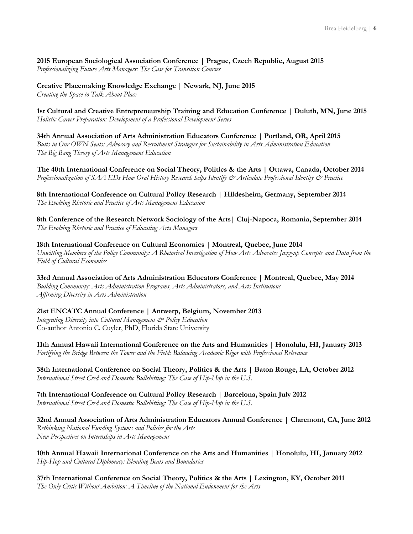**2015 European Sociological Association Conference | Prague, Czech Republic, August 2015** *Professionalizing Future Arts Managers: The Case for Transition Courses*

**Creative Placemaking Knowledge Exchange | Newark, NJ, June 2015** *Creating the Space to Talk About Place*

**1st Cultural and Creative Entrepreneurship Training and Education Conference | Duluth, MN, June 2015** *Holistic Career Preparation: Development of a Professional Development Series*

**34th Annual Association of Arts Administration Educators Conference | Portland, OR, April 2015** *Butts in Our OWN Seats: Advocacy and Recruitment Strategies for Sustainability in Arts Administration Education The Big Bang Theory of Arts Management Education*

**The 40th International Conference on Social Theory, Politics & the Arts | Ottawa, Canada, October 2014** *Professionalization of SAA EDs How Oral History Research helps Identify & Articulate Professional Identity & Practice*

**8th International Conference on Cultural Policy Research | Hildesheim, Germany, September 2014** *The Evolving Rhetoric and Practice of Arts Management Education*

**8th Conference of the Research Network Sociology of the Arts| Cluj-Napoca, Romania, September 2014** *The Evolving Rhetoric and Practice of Educating Arts Managers*

**18th International Conference on Cultural Economics | Montreal, Quebec, June 2014** *Unwitting Members of the Policy Community: A Rhetorical Investigation of How Arts Advocates Jazz-up Concepts and Data from the Field of Cultural Economics*

**33rd Annual Association of Arts Administration Educators Conference | Montreal, Quebec, May 2014** *Building Community: Arts Administration Programs, Arts Administrators, and Arts Institutions Affirming Diversity in Arts Administration*

**21st ENCATC Annual Conference | Antwerp, Belgium, November 2013** *Integrating Diversity into Cultural Management & Policy Education* Co-author Antonio C. Cuyler, PhD, Florida State University

**11th Annual Hawaii International Conference on the Arts and Humanities** | **Honolulu, HI, January 2013** *Fortifying the Bridge Between the Tower and the Field: Balancing Academic Rigor with Professional Relevance*

**38th International Conference on Social Theory, Politics & the Arts | Baton Rouge, LA, October 2012** *International Street Cred and Domestic Bullshitting: The Case of Hip-Hop in the U.S.*

**7th International Conference on Cultural Policy Research | Barcelona, Spain July 2012** *International Street Cred and Domestic Bullshitting: The Case of Hip-Hop in the U.S.*

**32nd Annual Association of Arts Administration Educators Annual Conference | Claremont, CA, June 2012** *Rethinking National Funding Systems and Policies for the Arts New Perspectives on Internships in Arts Management*

**10th Annual Hawaii International Conference on the Arts and Humanities** | **Honolulu, HI, January 2012** *Hip-Hop and Cultural Diplomacy: Blending Beats and Boundaries*

**37th International Conference on Social Theory, Politics & the Arts | Lexington, KY, October 2011** *The Only Critic Without Ambition: A Timeline of the National Endowment for the Arts*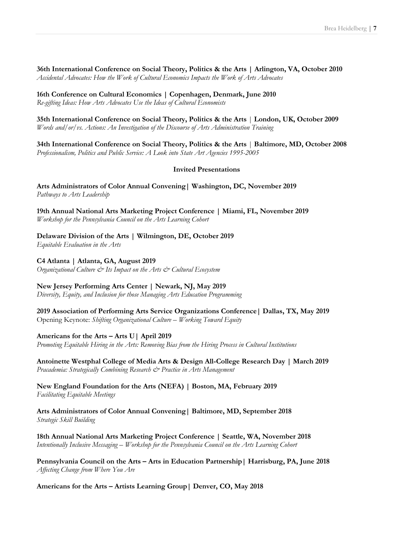**36th International Conference on Social Theory, Politics & the Arts | Arlington, VA, October 2010**

*Accidental Advocates: How the Work of Cultural Economics Impacts the Work of Arts Advocates*

**16th Conference on Cultural Economics | Copenhagen, Denmark, June 2010** *Re-gifting Ideas: How Arts Advocates Use the Ideas of Cultural Economists*

**35th International Conference on Social Theory, Politics & the Arts** | **London, UK, October 2009** *Words and/or/vs. Actions: An Investigation of the Discourse of Arts Administration Training*

**34th International Conference on Social Theory, Politics & the Arts** | **Baltimore, MD, October 2008** *Professionalism, Politics and Public Service: A Look into State Art Agencies 1995-2005*

### **Invited Presentations**

**Arts Administrators of Color Annual Convening| Washington, DC, November 2019** *Pathways to Arts Leadership*

**19th Annual National Arts Marketing Project Conference | Miami, FL, November 2019** *Workshop for the Pennsylvania Council on the Arts Learning Cohort*

**Delaware Division of the Arts | Wilmington, DE, October 2019**

*Equitable Evaluation in the Arts*

**C4 Atlanta | Atlanta, GA, August 2019**

*Organizational Culture & Its Impact on the Arts & Cultural Ecosystem*

**New Jersey Performing Arts Center | Newark, NJ, May 2019**

*Diversity, Equity, and Inclusion for those Managing Arts Education Programming*

**2019 Association of Performing Arts Service Organizations Conference| Dallas, TX, May 2019** Opening Keynote: *Shifting Organizational Culture – Working Toward Equity*

**Americans for the Arts – Arts U| April 2019**

*Promoting Equitable Hiring in the Arts: Removing Bias from the Hiring Process in Cultural Institutions*

**Antoinette Westphal College of Media Arts & Design All-College Research Day | March 2019** *Pracademia: Strategically Combining Research & Practice in Arts Management*

**New England Foundation for the Arts (NEFA) | Boston, MA, February 2019** *Facilitating Equitable Meetings*

**Arts Administrators of Color Annual Convening| Baltimore, MD, September 2018** *Strategic Skill Building*

**18th Annual National Arts Marketing Project Conference | Seattle, WA, November 2018** *Intentionally Inclusive Messaging – Workshop for the Pennsylvania Council on the Arts Learning Cohort*

**Pennsylvania Council on the Arts – Arts in Education Partnership| Harrisburg, PA, June 2018** *Affecting Change from Where You Are*

**Americans for the Arts – Artists Learning Group| Denver, CO, May 2018**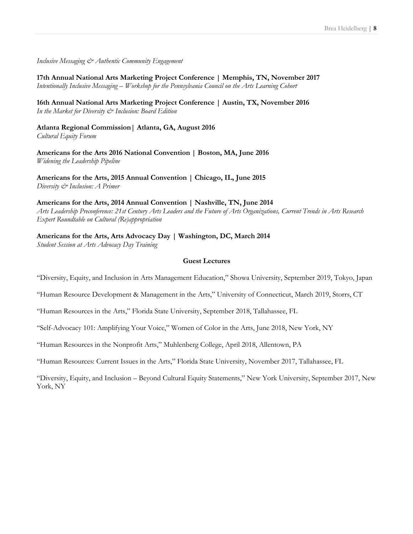*Inclusive Messaging & Authentic Community Engagement*

**17th Annual National Arts Marketing Project Conference | Memphis, TN, November 2017** *Intentionally Inclusive Messaging – Workshop for the Pennsylvania Council on the Arts Learning Cohort*

**16th Annual National Arts Marketing Project Conference | Austin, TX, November 2016**  *In the Market for Diversity & Inclusion: Board Edition*

**Atlanta Regional Commission| Atlanta, GA, August 2016** *Cultural Equity Forum*

**Americans for the Arts 2016 National Convention | Boston, MA, June 2016** *Widening the Leadership Pipeline*

**Americans for the Arts, 2015 Annual Convention | Chicago, IL, June 2015** *Diversity & Inclusion: A Primer*

**Americans for the Arts, 2014 Annual Convention | Nashville, TN, June 2014** *Arts Leadership Preconference: 21st Century Arts Leaders and the Future of Arts Organizations, Current Trends in Arts Research Expert Roundtable on Cultural (Re)appropriation*

**Americans for the Arts, Arts Advocacy Day | Washington, DC, March 2014** *Student Session at Arts Advocacy Day Training*

### **Guest Lectures**

"Diversity, Equity, and Inclusion in Arts Management Education," Showa University, September 2019, Tokyo, Japan

"Human Resource Development & Management in the Arts," University of Connecticut, March 2019, Storrs, CT

"Human Resources in the Arts," Florida State University, September 2018, Tallahassee, FL

"Self-Advocacy 101: Amplifying Your Voice," Women of Color in the Arts, June 2018, New York, NY

"Human Resources in the Nonprofit Arts," Muhlenberg College, April 2018, Allentown, PA

"Human Resources: Current Issues in the Arts," Florida State University, November 2017, Tallahassee, FL

"Diversity, Equity, and Inclusion – Beyond Cultural Equity Statements," New York University, September 2017, New York, NY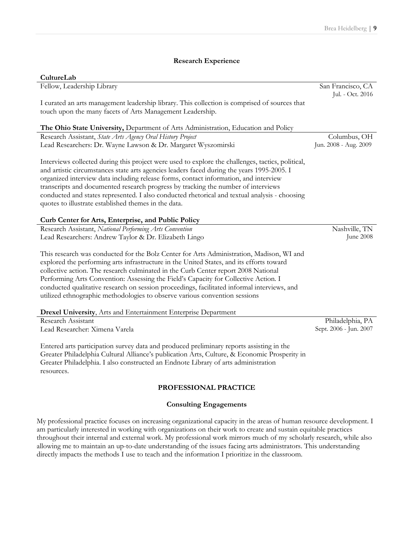### **Research Experience**

| CultureLab                                                                                                                                                                                                                                                                                                                                                                                                                                                                                                                                     |                                       |
|------------------------------------------------------------------------------------------------------------------------------------------------------------------------------------------------------------------------------------------------------------------------------------------------------------------------------------------------------------------------------------------------------------------------------------------------------------------------------------------------------------------------------------------------|---------------------------------------|
| Fellow, Leadership Library                                                                                                                                                                                                                                                                                                                                                                                                                                                                                                                     | San Francisco, CA<br>Jul. - Oct. 2016 |
| I curated an arts management leadership library. This collection is comprised of sources that                                                                                                                                                                                                                                                                                                                                                                                                                                                  |                                       |
| touch upon the many facets of Arts Management Leadership.                                                                                                                                                                                                                                                                                                                                                                                                                                                                                      |                                       |
| The Ohio State University, Department of Arts Administration, Education and Policy                                                                                                                                                                                                                                                                                                                                                                                                                                                             |                                       |
| Research Assistant, State Arts Agency Oral History Project                                                                                                                                                                                                                                                                                                                                                                                                                                                                                     | Columbus, OH                          |
| Lead Researchers: Dr. Wayne Lawson & Dr. Margaret Wyszomirski                                                                                                                                                                                                                                                                                                                                                                                                                                                                                  | Jun. 2008 - Aug. 2009                 |
| Interviews collected during this project were used to explore the challenges, tactics, political,<br>and artistic circumstances state arts agencies leaders faced during the years 1995-2005. I<br>organized interview data including release forms, contact information, and interview                                                                                                                                                                                                                                                        |                                       |
| transcripts and documented research progress by tracking the number of interviews                                                                                                                                                                                                                                                                                                                                                                                                                                                              |                                       |
| conducted and states represented. I also conducted rhetorical and textual analysis - choosing<br>quotes to illustrate established themes in the data.                                                                                                                                                                                                                                                                                                                                                                                          |                                       |
| Curb Center for Arts, Enterprise, and Public Policy                                                                                                                                                                                                                                                                                                                                                                                                                                                                                            |                                       |
| Research Assistant, National Performing Arts Convention                                                                                                                                                                                                                                                                                                                                                                                                                                                                                        | Nashville, TN                         |
| Lead Researchers: Andrew Taylor & Dr. Elizabeth Lingo                                                                                                                                                                                                                                                                                                                                                                                                                                                                                          | June 2008                             |
| This research was conducted for the Bolz Center for Arts Administration, Madison, WI and<br>explored the performing arts infrastructure in the United States, and its efforts toward<br>collective action. The research culminated in the Curb Center report 2008 National<br>Performing Arts Convention: Assessing the Field's Capacity for Collective Action. I<br>conducted qualitative research on session proceedings, facilitated informal interviews, and<br>utilized ethnographic methodologies to observe various convention sessions |                                       |
| <b>Drexel University</b> , Arts and Entertainment Enterprise Department                                                                                                                                                                                                                                                                                                                                                                                                                                                                        |                                       |
| Research Assistant                                                                                                                                                                                                                                                                                                                                                                                                                                                                                                                             | Philadelphia, PA                      |
| Lead Researcher: Ximena Varela                                                                                                                                                                                                                                                                                                                                                                                                                                                                                                                 | Sept. 2006 - Jun. 2007                |
| Entered arts participation survey data and produced preliminary reports assisting in the<br>Greater Philadelphia Cultural Alliance's publication Arts, Culture, & Economic Prosperity in<br>Greater Philadelphia. I also constructed an Endnote Library of arts administration<br>resources.                                                                                                                                                                                                                                                   |                                       |

### **PROFESSIONAL PRACTICE**

### **Consulting Engagements**

My professional practice focuses on increasing organizational capacity in the areas of human resource development. I am particularly interested in working with organizations on their work to create and sustain equitable practices throughout their internal and external work. My professional work mirrors much of my scholarly research, while also allowing me to maintain an up-to-date understanding of the issues facing arts administrators. This understanding directly impacts the methods I use to teach and the information I prioritize in the classroom.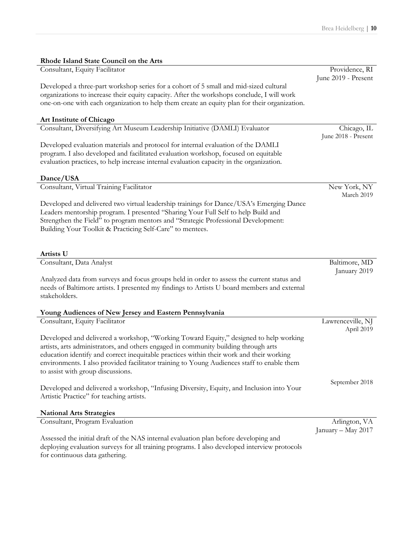| Rhode Island State Council on the Arts                                                       |                     |
|----------------------------------------------------------------------------------------------|---------------------|
| Consultant, Equity Facilitator                                                               | Providence, RI      |
|                                                                                              | June 2019 - Present |
| Developed a three-part workshop series for a cohort of 5 small and mid-sized cultural        |                     |
| organizations to increase their equity capacity. After the workshops conclude, I will work   |                     |
| one-on-one with each organization to help them create an equity plan for their organization. |                     |
| Art Institute of Chicago                                                                     |                     |
| Consultant, Diversifying Art Museum Leadership Initiative (DAMLI) Evaluator                  | Chicago, IL         |
|                                                                                              | June 2018 - Present |
| Developed evaluation materials and protocol for internal evaluation of the DAMLI             |                     |
| program. I also developed and facilitated evaluation workshop, focused on equitable          |                     |
| evaluation practices, to help increase internal evaluation capacity in the organization.     |                     |
|                                                                                              |                     |
| Dance/USA                                                                                    |                     |
| Consultant, Virtual Training Facilitator                                                     | New York, NY        |
|                                                                                              | March 2019          |
| Developed and delivered two virtual leadership trainings for Dance/USA's Emerging Dance      |                     |
| Leaders mentorship program. I presented "Sharing Your Full Self to help Build and            |                     |
| Strengthen the Field" to program mentors and "Strategic Professional Development:            |                     |
| Building Your Toolkit & Practicing Self-Care" to mentees.                                    |                     |
|                                                                                              |                     |
| Artists U                                                                                    |                     |
| Consultant, Data Analyst                                                                     | Baltimore, MD       |
|                                                                                              | January 2019        |
| Analyzed data from surveys and focus groups held in order to assess the current status and   |                     |
| needs of Baltimore artists. I presented my findings to Artists U board members and external  |                     |
| stakeholders.                                                                                |                     |
|                                                                                              |                     |
| Young Audiences of New Jersey and Eastern Pennsylvania                                       |                     |
| Consultant, Equity Facilitator                                                               | Lawrenceville, NJ   |
|                                                                                              | April 2019          |
| Developed and delivered a workshop, "Working Toward Equity," designed to help working        |                     |
| artists, arts administrators, and others engaged in community building through arts          |                     |
| education identify and correct inequitable practices within their work and their working     |                     |
| environments. I also provided facilitator training to Young Audiences staff to enable them   |                     |
| to assist with group discussions.                                                            |                     |
|                                                                                              | September 2018      |
| Developed and delivered a workshop, "Infusing Diversity, Equity, and Inclusion into Your     |                     |
| Artistic Practice" for teaching artists.                                                     |                     |
| <b>National Arts Strategies</b>                                                              |                     |
| Consultant, Program Evaluation                                                               | Arlington, VA       |
|                                                                                              | January - May 2017  |
| Assessed the initial draft of the NAS internal evaluation plan before developing and         |                     |
| deploying evaluation surveys for all training programs. I also developed interview protocols |                     |
| for continuous data gathering.                                                               |                     |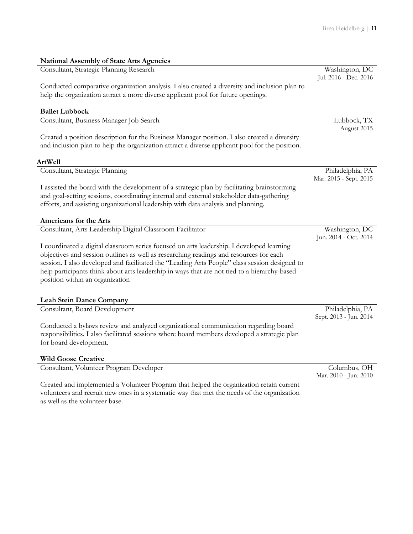| <b>National Assembly of State Arts Agencies</b>                                                                                                                                         |                                            |
|-----------------------------------------------------------------------------------------------------------------------------------------------------------------------------------------|--------------------------------------------|
| Consultant, Strategic Planning Research                                                                                                                                                 | Washington, DC                             |
|                                                                                                                                                                                         | Jul. 2016 - Dec. 2016                      |
| Conducted comparative organization analysis. I also created a diversity and inclusion plan to                                                                                           |                                            |
| help the organization attract a more diverse applicant pool for future openings.                                                                                                        |                                            |
|                                                                                                                                                                                         |                                            |
| <b>Ballet Lubbock</b>                                                                                                                                                                   |                                            |
| Consultant, Business Manager Job Search                                                                                                                                                 | Lubbock, TX                                |
|                                                                                                                                                                                         | August 2015                                |
| Created a position description for the Business Manager position. I also created a diversity                                                                                            |                                            |
| and inclusion plan to help the organization attract a diverse applicant pool for the position.                                                                                          |                                            |
|                                                                                                                                                                                         |                                            |
| <b>ArtWell</b>                                                                                                                                                                          |                                            |
| Consultant, Strategic Planning                                                                                                                                                          | Philadelphia, PA<br>Mar. 2015 - Sept. 2015 |
|                                                                                                                                                                                         |                                            |
| I assisted the board with the development of a strategic plan by facilitating brainstorming<br>and goal-setting sessions, coordinating internal and external stakeholder data-gathering |                                            |
| efforts, and assisting organizational leadership with data analysis and planning.                                                                                                       |                                            |
|                                                                                                                                                                                         |                                            |
| Americans for the Arts                                                                                                                                                                  |                                            |
| Consultant, Arts Leadership Digital Classroom Facilitator                                                                                                                               | Washington, DC                             |
|                                                                                                                                                                                         | Jun. 2014 - Oct. 2014                      |
| I coordinated a digital classroom series focused on arts leadership. I developed learning                                                                                               |                                            |
| objectives and session outlines as well as researching readings and resources for each                                                                                                  |                                            |
| session. I also developed and facilitated the "Leading Arts People" class session designed to                                                                                           |                                            |
| help participants think about arts leadership in ways that are not tied to a hierarchy-based                                                                                            |                                            |
| position within an organization                                                                                                                                                         |                                            |
|                                                                                                                                                                                         |                                            |
| <b>Leah Stein Dance Company</b>                                                                                                                                                         |                                            |
| Consultant, Board Development                                                                                                                                                           | Philadelphia, PA                           |
|                                                                                                                                                                                         | Sept. 2013 - Jun. 2014                     |
| Conducted a bylaws review and analyzed organizational communication regarding board                                                                                                     |                                            |
| responsibilities. I also facilitated sessions where board members developed a strategic plan                                                                                            |                                            |
| for board development.                                                                                                                                                                  |                                            |
|                                                                                                                                                                                         |                                            |
| <b>Wild Goose Creative</b>                                                                                                                                                              |                                            |
| Consultant, Volunteer Program Developer                                                                                                                                                 | Columbus, OH                               |
|                                                                                                                                                                                         | Mar. 2010 - Jun. 2010                      |
|                                                                                                                                                                                         |                                            |
| Created and implemented a Volunteer Program that helped the organization retain current                                                                                                 |                                            |

volunteers and recruit new ones in a systematic way that met the needs of the organization as well as the volunteer base.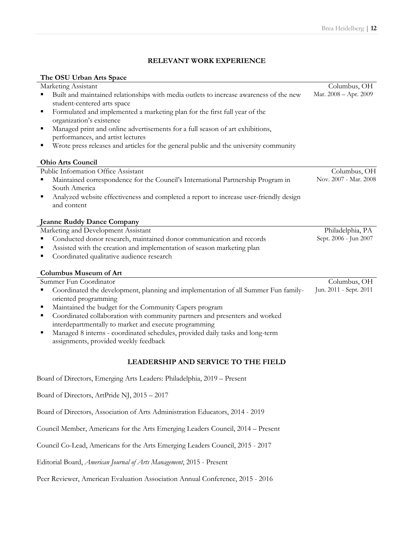Columbus, OH

Columbus, OH Nov. 2007 - Mar. 2008

Philadelphia, PA Sept. 2006 - Jun 2007

Columbus, OH

### **RELEVANT WORK EXPERIENCE**

#### **The OSU Urban Arts Space**

Marketing Assistant

- Built and maintained relationships with media outlets to increase awareness of the new student-centered arts space Mar. 2008 – Apr. 2009
- § Formulated and implemented a marketing plan for the first full year of the organization's existence
- Managed print and online advertisements for a full season of art exhibitions, performances, and artist lectures
- § Wrote press releases and articles for the general public and the university community

### **Ohio Arts Council**

Public Information Office Assistant

- Maintained correspondence for the Council's International Partnership Program in South America
- Analyzed website effectiveness and completed a report to increase user-friendly design and content

#### **Jeanne Ruddy Dance Company**

Marketing and Development Assistant

- § Conducted donor research, maintained donor communication and records
- Assisted with the creation and implementation of season marketing plan
- Coordinated qualitative audience research

#### **Columbus Museum of Art**

Summer Fun Coordinator

- § Coordinated the development, planning and implementation of all Summer Fun familyoriented programming Jun. 2011 - Sept. 2011
- Maintained the budget for the Community Capers program
- Coordinated collaboration with community partners and presenters and worked interdepartmentally to market and execute programming
- Managed 8 interns coordinated schedules, provided daily tasks and long-term assignments, provided weekly feedback

### **LEADERSHIP AND SERVICE TO THE FIELD**

Board of Directors, Emerging Arts Leaders: Philadelphia, 2019 – Present

Board of Directors, ArtPride NJ, 2015 – 2017

Board of Directors, Association of Arts Administration Educators, 2014 - 2019

Council Member, Americans for the Arts Emerging Leaders Council, 2014 – Present

Council Co-Lead, Americans for the Arts Emerging Leaders Council, 2015 - 2017

Editorial Board, *American Journal of Arts Management*, 2015 - Present

Peer Reviewer, American Evaluation Association Annual Conference, 2015 - 2016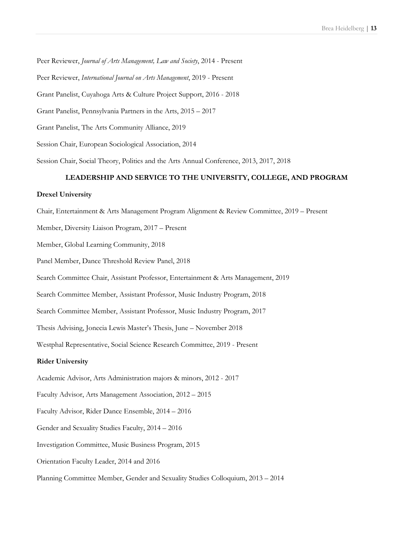Peer Reviewer, *Journal of Arts Management, Law and Society*, 2014 - Present

Peer Reviewer, *International Journal on Arts Management*, 2019 - Present

Grant Panelist, Cuyahoga Arts & Culture Project Support, 2016 - 2018

Grant Panelist, Pennsylvania Partners in the Arts, 2015 – 2017

Grant Panelist, The Arts Community Alliance, 2019

Session Chair, European Sociological Association, 2014

Session Chair, Social Theory, Politics and the Arts Annual Conference, 2013, 2017, 2018

#### **LEADERSHIP AND SERVICE TO THE UNIVERSITY, COLLEGE, AND PROGRAM**

#### **Drexel University**

Chair, Entertainment & Arts Management Program Alignment & Review Committee, 2019 – Present

Member, Diversity Liaison Program, 2017 – Present

Member, Global Learning Community, 2018

Panel Member, Dance Threshold Review Panel, 2018

Search Committee Chair, Assistant Professor, Entertainment & Arts Management, 2019

Search Committee Member, Assistant Professor, Music Industry Program, 2018

Search Committee Member, Assistant Professor, Music Industry Program, 2017

Thesis Advising, Jonecia Lewis Master's Thesis, June – November 2018

Westphal Representative, Social Science Research Committee, 2019 - Present

#### **Rider University**

Academic Advisor, Arts Administration majors & minors, 2012 - 2017

Faculty Advisor, Arts Management Association, 2012 – 2015

Faculty Advisor, Rider Dance Ensemble, 2014 – 2016

Gender and Sexuality Studies Faculty, 2014 – 2016

Investigation Committee, Music Business Program, 2015

Orientation Faculty Leader, 2014 and 2016

Planning Committee Member, Gender and Sexuality Studies Colloquium, 2013 – 2014